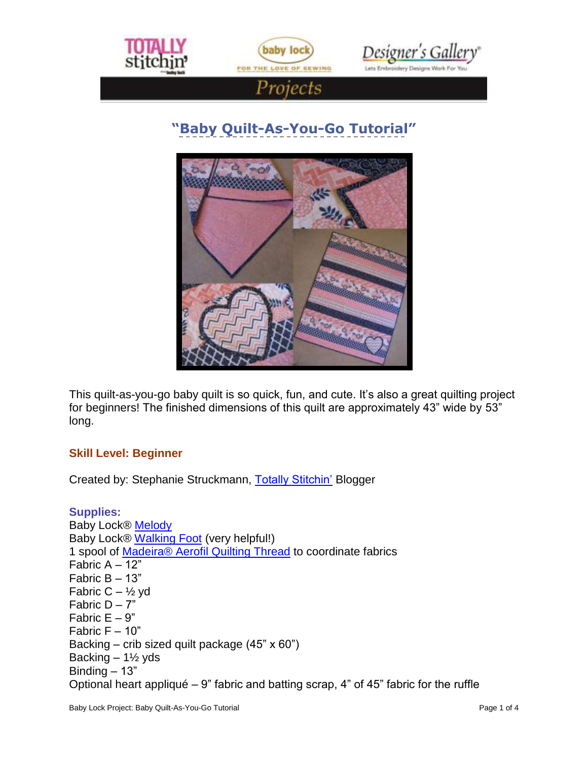







## **"Baby Quilt-As-You-Go Tutorial"**



This quilt-as-you-go baby quilt is so quick, fun, and cute. It's also a great quilting project for beginners! The finished dimensions of this quilt are approximately 43" wide by 53" long.

## **Skill Level: Beginner**

Created by: Stephanie Struckmann, [Totally Stitchin'](http://totallystitchin.net/) Blogger

**Supplies:**  Baby Lock® [Melody](http://www.babylock.com/sewing/melody/) Baby Lock® [Walking Foot](http://www.babylock.com/accessories/feet/?at=3&Product_ID=BLG-WF) (very helpful!) 1 spool of [Madeira® Aerofil Quilting Thread](http://www.sewingandcraftclub.com/?fuseaction=category.display&category_id=378) to coordinate fabrics Fabric A – 12" Fabric B – 13" Fabric  $C - \frac{1}{2}$  yd Fabric  $D - 7"$ Fabric  $E - 9$ " Fabric F – 10" Backing – crib sized quilt package (45" x 60") Backing – 1½ yds Binding – 13" Optional heart appliqué – 9" fabric and batting scrap, 4" of 45" fabric for the ruffle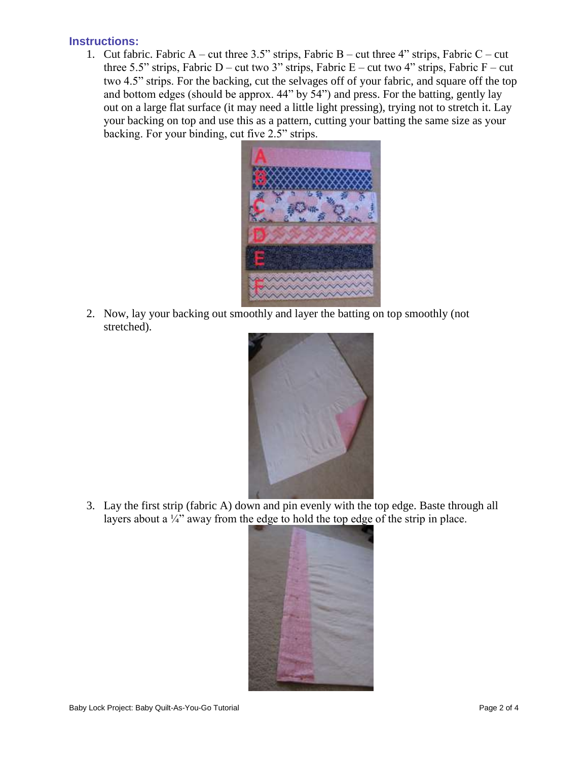## **Instructions:**

1. Cut fabric. Fabric A – cut three 3.5" strips, Fabric B – cut three 4" strips, Fabric C – cut three 5.5" strips, Fabric D – cut two 3" strips, Fabric E – cut two 4" strips, Fabric F – cut two 4.5" strips. For the backing, cut the selvages off of your fabric, and square off the top and bottom edges (should be approx. 44" by 54") and press. For the batting, gently lay out on a large flat surface (it may need a little light pressing), trying not to stretch it. Lay your backing on top and use this as a pattern, cutting your batting the same size as your backing. For your binding, cut five 2.5" strips.



2. Now, lay your backing out smoothly and layer the batting on top smoothly (not stretched).



3. Lay the first strip (fabric A) down and pin evenly with the top edge. Baste through all layers about a  $\frac{1}{4}$  away from the edge to hold the top edge of the strip in place.

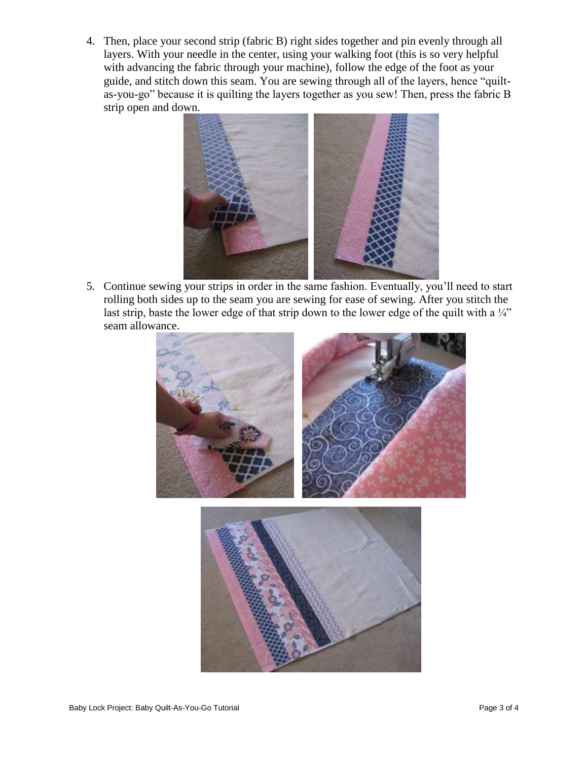4. Then, place your second strip (fabric B) right sides together and pin evenly through all layers. With your needle in the center, using your walking foot (this is so very helpful with advancing the fabric through your machine), follow the edge of the foot as your guide, and stitch down this seam. You are sewing through all of the layers, hence "quiltas-you-go" because it is quilting the layers together as you sew! Then, press the fabric B strip open and down.



5. Continue sewing your strips in order in the same fashion. Eventually, you'll need to start rolling both sides up to the seam you are sewing for ease of sewing. After you stitch the last strip, baste the lower edge of that strip down to the lower edge of the quilt with a  $\frac{1}{4}$ " seam allowance.